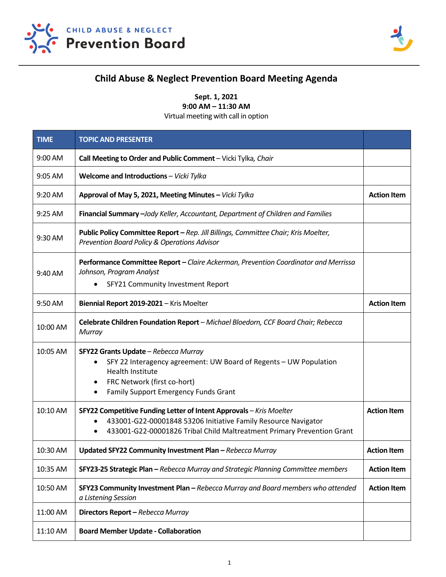



## **Child Abuse & Neglect Prevention Board Meeting Agenda**

**Sept. 1, 2021 9:00 AM – 11:30 AM**

Virtual meeting with call in option

| <b>TIME</b> | <b>TOPIC AND PRESENTER</b>                                                                                                                                                                                                                |                    |
|-------------|-------------------------------------------------------------------------------------------------------------------------------------------------------------------------------------------------------------------------------------------|--------------------|
| 9:00 AM     | Call Meeting to Order and Public Comment - Vicki Tylka, Chair                                                                                                                                                                             |                    |
| 9:05 AM     | Welcome and Introductions - Vicki Tylka                                                                                                                                                                                                   |                    |
| 9:20 AM     | Approval of May 5, 2021, Meeting Minutes - Vicki Tylka                                                                                                                                                                                    | <b>Action Item</b> |
| 9:25 AM     | Financial Summary - Jody Keller, Accountant, Department of Children and Families                                                                                                                                                          |                    |
| 9:30 AM     | Public Policy Committee Report - Rep. Jill Billings, Committee Chair; Kris Moelter,<br>Prevention Board Policy & Operations Advisor                                                                                                       |                    |
| 9:40 AM     | Performance Committee Report - Claire Ackerman, Prevention Coordinator and Merrissa<br>Johnson, Program Analyst<br>SFY21 Community Investment Report                                                                                      |                    |
| 9:50 AM     | Biennial Report 2019-2021 - Kris Moelter                                                                                                                                                                                                  | <b>Action Item</b> |
| 10:00 AM    | Celebrate Children Foundation Report - Michael Bloedorn, CCF Board Chair; Rebecca<br>Murray                                                                                                                                               |                    |
| 10:05 AM    | SFY22 Grants Update - Rebecca Murray<br>SFY 22 Interagency agreement: UW Board of Regents - UW Population<br><b>Health Institute</b><br>FRC Network (first co-hort)<br>$\bullet$<br>Family Support Emergency Funds Grant<br>$\bullet$     |                    |
| 10:10 AM    | SFY22 Competitive Funding Letter of Intent Approvals - Kris Moelter<br>433001-G22-00001848 53206 Initiative Family Resource Navigator<br>$\bullet$<br>433001-G22-00001826 Tribal Child Maltreatment Primary Prevention Grant<br>$\bullet$ | <b>Action Item</b> |
| 10:30 AM    | Updated SFY22 Community Investment Plan - Rebecca Murray                                                                                                                                                                                  | <b>Action Item</b> |
| 10:35 AM    | SFY23-25 Strategic Plan - Rebecca Murray and Strategic Planning Committee members                                                                                                                                                         | <b>Action Item</b> |
| 10:50 AM    | SFY23 Community Investment Plan - Rebecca Murray and Board members who attended<br>a Listening Session                                                                                                                                    | <b>Action Item</b> |
| 11:00 AM    | Directors Report - Rebecca Murray                                                                                                                                                                                                         |                    |
| 11:10 AM    | <b>Board Member Update - Collaboration</b>                                                                                                                                                                                                |                    |